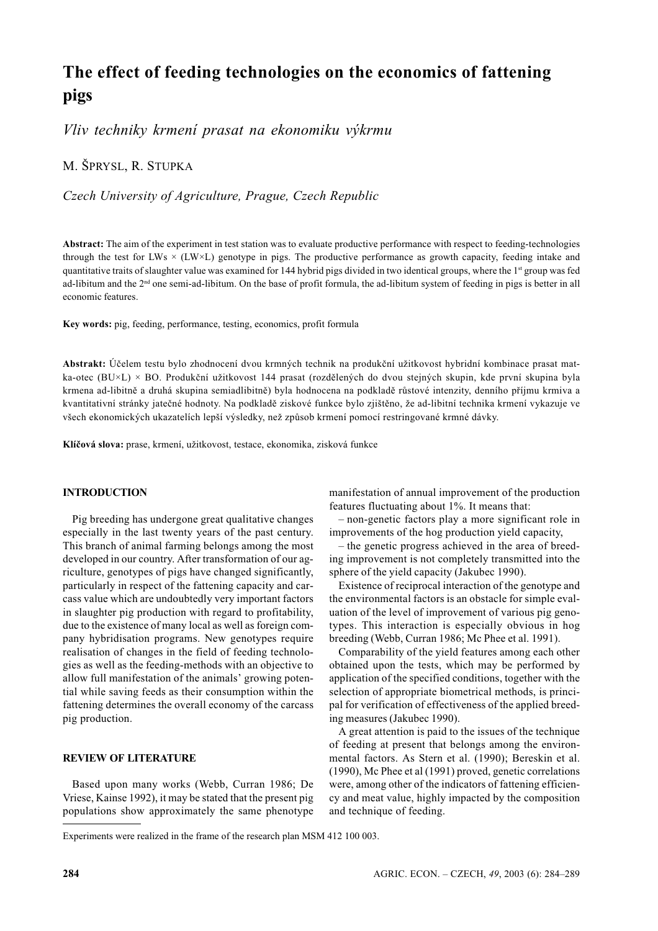# The effect of feeding technologies on the economics of fattening pigs

Vliv techniky krmení prasat na ekonomiku výkrmu

M. ŠPRYSL, R. STUPKA

Czech University of Agriculture, Prague, Czech Republic

Abstract: The aim of the experiment in test station was to evaluate productive performance with respect to feeding-technologies through the test for LWs  $\times$  (LW $\times$ L) genotype in pigs. The productive performance as growth capacity, feeding intake and quantitative traits of slaughter value was examined for 144 hybrid pigs divided in two identical groups, where the 1<sup>st</sup> group was fed ad-libitum and the 2<sup>nd</sup> one semi-ad-libitum. On the base of profit formula, the ad-libitum system of feeding in pigs is better in all economic features

Key words: pig, feeding, performance, testing, economics, profit formula

Abstrakt: Účelem testu bylo zhodnocení dvou krmných technik na produkční užitkovost hybridní kombinace prasat matka-otec (BU×L) × BO. Produkční užitkovost 144 prasat (rozdělených do dvou stejných skupin, kde první skupina byla krmena ad-libitně a druhá skupina semiadlibitně) byla hodnocena na podkladě růstové intenzity, denního příjmu krmiva a kvantitativní stránky jatečné hodnoty. Na podkladě ziskové funkce bylo zjištěno, že ad-libitní technika krmení vykazuje ve všech ekonomických ukazatelích lepší výsledky, než způsob krmení pomocí restringované krmné dávky.

Klíčová slova: prase, krmení, užitkovost, testace, ekonomika, zisková funkce

### **INTRODUCTION**

Pig breeding has undergone great qualitative changes especially in the last twenty years of the past century. This branch of animal farming belongs among the most developed in our country. After transformation of our agriculture, genotypes of pigs have changed significantly, particularly in respect of the fattening capacity and carcass value which are undoubtedly very important factors in slaughter pig production with regard to profitability, due to the existence of many local as well as foreign company hybridisation programs. New genotypes require realisation of changes in the field of feeding technologies as well as the feeding-methods with an objective to allow full manifestation of the animals' growing potential while saving feeds as their consumption within the fattening determines the overall economy of the carcass pig production.

#### **REVIEW OF LITERATURE**

Based upon many works (Webb, Curran 1986; De Vriese, Kainse 1992), it may be stated that the present pig populations show approximately the same phenotype manifestation of annual improvement of the production features fluctuating about 1%. It means that:

- non-genetic factors play a more significant role in improvements of the hog production yield capacity,

- the genetic progress achieved in the area of breeding improvement is not completely transmitted into the sphere of the yield capacity (Jakubec 1990).

Existence of reciprocal interaction of the genotype and the environmental factors is an obstacle for simple evaluation of the level of improvement of various pig genotypes. This interaction is especially obvious in hog breeding (Webb, Curran 1986; Mc Phee et al. 1991).

Comparability of the yield features among each other obtained upon the tests, which may be performed by application of the specified conditions, together with the selection of appropriate biometrical methods, is principal for verification of effectiveness of the applied breeding measures (Jakubec 1990).

A great attention is paid to the issues of the technique of feeding at present that belongs among the environmental factors. As Stern et al. (1990); Bereskin et al. (1990), Mc Phee et al (1991) proved, genetic correlations were, among other of the indicators of fattening efficiency and meat value, highly impacted by the composition and technique of feeding.

Experiments were realized in the frame of the research plan MSM 412 100 003.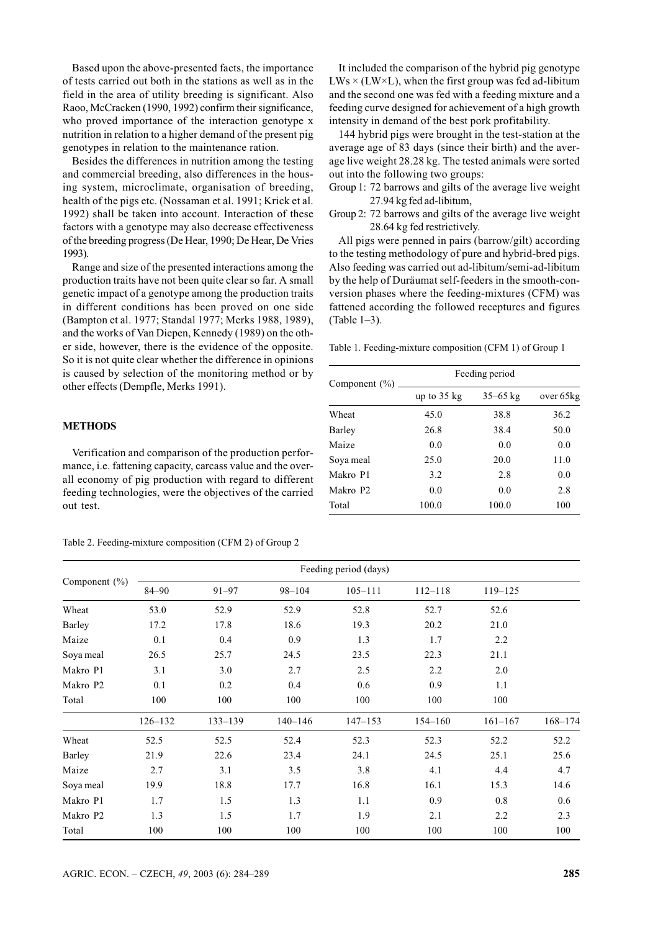Based upon the above-presented facts, the importance of tests carried out both in the stations as well as in the field in the area of utility breeding is significant. Also Raoo, McCracken (1990, 1992) confirm their significance, who proved importance of the interaction genotype x nutrition in relation to a higher demand of the present pig genotypes in relation to the maintenance ration.

Besides the differences in nutrition among the testing and commercial breeding, also differences in the housing system, microclimate, organisation of breeding, health of the pigs etc. (Nossaman et al. 1991; Krick et al. 1992) shall be taken into account. Interaction of these factors with a genotype may also decrease effectiveness of the breeding progress (De Hear, 1990; De Hear, De Vries 1993).

Range and size of the presented interactions among the production traits have not been quite clear so far. A small genetic impact of a genotype among the production traits in different conditions has been proved on one side (Bampton et al. 1977; Standal 1977; Merks 1988, 1989). and the works of Van Diepen, Kennedy (1989) on the other side, however, there is the evidence of the opposite. So it is not quite clear whether the difference in opinions is caused by selection of the monitoring method or by other effects (Dempfle, Merks 1991).

#### **METHODS**

Verification and comparison of the production performance, i.e. fattening capacity, carcass value and the overall economy of pig production with regard to different feeding technologies, were the objectives of the carried out test.

Table 2. Feeding-mixture composition (CFM 2) of Group 2

It included the comparison of the hybrid pig genotype  $LWS \times (LW \times L)$ , when the first group was fed ad-libitum and the second one was fed with a feeding mixture and a feeding curve designed for achievement of a high growth intensity in demand of the best pork profitability.

144 hybrid pigs were brought in the test-station at the average age of 83 days (since their birth) and the average live weight 28.28 kg. The tested animals were sorted out into the following two groups:

- Group 1: 72 barrows and gilts of the average live weight 27.94 kg fed ad-libitum.
- Group 2: 72 barrows and gilts of the average live weight 28.64 kg fed restrictively.

All pigs were penned in pairs (barrow/gilt) according to the testing methodology of pure and hybrid-bred pigs. Also feeding was carried out ad-libitum/semi-ad-libitum by the help of Duräumat self-feeders in the smooth-conversion phases where the feeding-mixtures (CFM) was fattened according the followed receptures and figures (Table  $1-3$ ).

Table 1. Feeding-mixture composition (CFM 1) of Group 1

| Component $(\% )$ . | Feeding period        |              |            |  |  |
|---------------------|-----------------------|--------------|------------|--|--|
|                     | up to $35 \text{ kg}$ | $35 - 65$ kg | over 65 kg |  |  |
| Wheat               | 45.0                  | 38.8         | 36.2       |  |  |
| Barley              | 26.8                  | 38.4         | 50.0       |  |  |
| Maize               | 0.0                   | 0.0          | 0.0        |  |  |
| Soya meal           | 25.0                  | 20.0         | 11.0       |  |  |
| Makro P1            | 3.2                   | 2.8          | 0.0        |  |  |
| Makro P2            | 0.0                   | 0.0          | 2.8        |  |  |
| Total               | 100.0                 | 100.0        | 100        |  |  |

| Component $(\% )$ |             |             |             | Feeding period (days) |             |             |             |
|-------------------|-------------|-------------|-------------|-----------------------|-------------|-------------|-------------|
|                   | 84-90       | $91 - 97$   | $98 - 104$  | $105 - 111$           | $112 - 118$ | $119 - 125$ |             |
| Wheat             | 53.0        | 52.9        | 52.9        | 52.8                  | 52.7        | 52.6        |             |
| Barley            | 17.2        | 17.8        | 18.6        | 19.3                  | 20.2        | 21.0        |             |
| Maize             | 0.1         | 0.4         | 0.9         | 1.3                   | 1.7         | 2.2         |             |
| Soya meal         | 26.5        | 25.7        | 24.5        | 23.5                  | 22.3        | 21.1        |             |
| Makro P1          | 3.1         | 3.0         | 2.7         | 2.5                   | 2.2         | 2.0         |             |
| Makro P2          | 0.1         | 0.2         | 0.4         | 0.6                   | 0.9         | 1.1         |             |
| Total             | 100         | 100         | 100         | 100                   | 100         | 100         |             |
|                   | $126 - 132$ | $133 - 139$ | $140 - 146$ | $147 - 153$           | $154 - 160$ | $161 - 167$ | $168 - 174$ |
| Wheat             | 52.5        | 52.5        | 52.4        | 52.3                  | 52.3        | 52.2        | 52.2        |
| Barley            | 21.9        | 22.6        | 23.4        | 24.1                  | 24.5        | 25.1        | 25.6        |
| Maize             | 2.7         | 3.1         | 3.5         | 3.8                   | 4.1         | 4.4         | 4.7         |
| Soya meal         | 19.9        | 18.8        | 17.7        | 16.8                  | 16.1        | 15.3        | 14.6        |
| Makro P1          | 1.7         | 1.5         | 1.3         | 1.1                   | 0.9         | 0.8         | 0.6         |
| Makro P2          | 1.3         | 1.5         | 1.7         | 1.9                   | 2.1         | 2.2         | 2.3         |
| Total             | 100         | 100         | 100         | 100                   | 100         | 100         | 100         |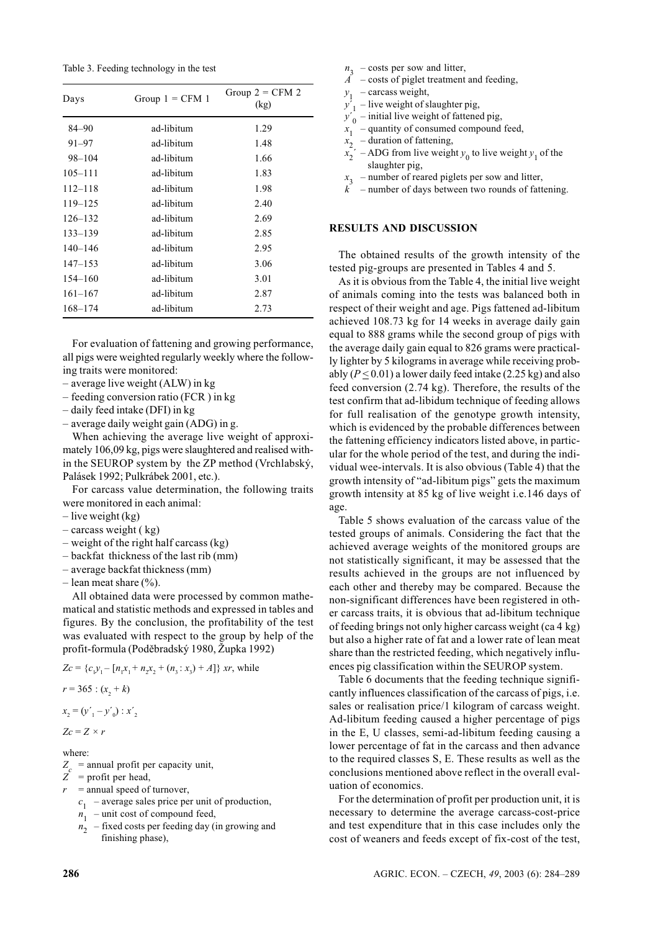Table 3. Feeding technology in the test

| Days        | Group $1 = CFM$ 1 | Group $2 = CFM 2$<br>(kg) |
|-------------|-------------------|---------------------------|
| 84–90       | ad-libitum        | 1.29                      |
| 91–97       | ad-libitum        | 1.48                      |
| $98 - 104$  | ad-libitum        | 1.66                      |
| $105 - 111$ | ad-libitum        | 1.83                      |
| $112 - 118$ | ad-libitum        | 1.98                      |
| $119 - 125$ | ad-libitum        | 2.40                      |
| $126 - 132$ | ad-libitum        | 2.69                      |
| $133 - 139$ | ad-libitum        | 2.85                      |
| $140 - 146$ | ad-libitum        | 2.95                      |
| $147 - 153$ | ad-libitum        | 3.06                      |
| $154 - 160$ | ad-libitum        | 3.01                      |
| $161 - 167$ | ad-libitum        | 2.87                      |
| $168 - 174$ | ad-libitum        | 2.73                      |

For evaluation of fattening and growing performance, all pigs were weighted regularly weekly where the following traits were monitored:

- $-$  average live weight (ALW) in kg
- $-$  feeding conversion ratio (FCR) in kg
- $-$  daily feed intake (DFI) in kg
- $-$  average daily weight gain (ADG) in g.

When achieving the average live weight of approximately 106,09 kg, pigs were slaughtered and realised within the SEUROP system by the ZP method (Vrchlabský, Palásek 1992; Pulkrábek 2001, etc.).

For carcass value determination, the following traits were monitored in each animal:

- $-$ live weight (kg)
- $-$  carcass weight  $(kg)$
- $-$  weight of the right half carcass (kg)
- $-$  backfat thickness of the last rib (mm)
- $-$  average backfat thickness (mm)

 $-\$ lean meat share  $(\%).$ 

All obtained data were processed by common mathematical and statistic methods and expressed in tables and figures. By the conclusion, the profitability of the test was evaluated with respect to the group by help of the profit-formula (Poděbradský 1980, Župka 1992)

$$
Zc = \{c_1y_1 - [n_1x_1 + n_2x_2 + (n_3:x_3) + A]\} \, xr, \text{ while}
$$
\n
$$
r = 365 : (x_2 + k)
$$

$$
x_2 = (y'_1 - y'_0) : x'_2
$$

$$
Zc = Z \times r
$$

where:

- $Z_c$  = annual profit per capacity unit,
- $Z^{\dagger}$  = profit per head,
- $r =$  annual speed of turnover,
	- $c_1$  average sales price per unit of production,
	- $n_1$  unit cost of compound feed,
	- $n_2$  fixed costs per feeding day (in growing and finishing phase),

 $n_3$  – costs per sow and litter,

- $\overrightarrow{A}$  costs of piglet treatment and feeding,
- 
- $y_1$  carcass weight,<br> $y'_1$  live weight of slaughter pig,
- $y'_0$  initial live weight of fattened pig,
- $x_1$  quantity of consumed compound feed,
- 
- $x_2^1$  duration of fattening,<br> $x_2^2$  ADG from live weight  $y_0$  to live weight  $y_1$  of the slaughter pig,
- $x_3$  number of reared piglets per sow and litter,
- $\overline{k}$ - number of days between two rounds of fattening.

## **RESULTS AND DISCUSSION**

The obtained results of the growth intensity of the tested pig-groups are presented in Tables 4 and 5.

As it is obvious from the Table 4, the initial live weight of animals coming into the tests was balanced both in respect of their weight and age. Pigs fattened ad-libitum achieved 108.73 kg for 14 weeks in average daily gain equal to 888 grams while the second group of pigs with the average daily gain equal to 826 grams were practically lighter by 5 kilograms in average while receiving probably ( $P \le 0.01$ ) a lower daily feed intake (2.25 kg) and also feed conversion (2.74 kg). Therefore, the results of the test confirm that ad-libidum technique of feeding allows for full realisation of the genotype growth intensity, which is evidenced by the probable differences between the fattening efficiency indicators listed above, in particular for the whole period of the test, and during the individual wee-intervals. It is also obvious (Table 4) that the growth intensity of "ad-libitum pigs" gets the maximum growth intensity at 85 kg of live weight i.e.146 days of age.

Table 5 shows evaluation of the carcass value of the tested groups of animals. Considering the fact that the achieved average weights of the monitored groups are not statistically significant, it may be assessed that the results achieved in the groups are not influenced by each other and thereby may be compared. Because the non-significant differences have been registered in other carcass traits, it is obvious that ad-libitum technique of feeding brings not only higher carcass weight (ca 4 kg) but also a higher rate of fat and a lower rate of lean meat share than the restricted feeding, which negatively influences pig classification within the SEUROP system.

Table 6 documents that the feeding technique significantly influences classification of the carcass of pigs, i.e. sales or realisation price/1 kilogram of carcass weight. Ad-libitum feeding caused a higher percentage of pigs in the E, U classes, semi-ad-libitum feeding causing a lower percentage of fat in the carcass and then advance to the required classes S, E. These results as well as the conclusions mentioned above reflect in the overall evaluation of economics.

For the determination of profit per production unit, it is necessary to determine the average carcass-cost-price and test expenditure that in this case includes only the cost of weaners and feeds except of fix-cost of the test,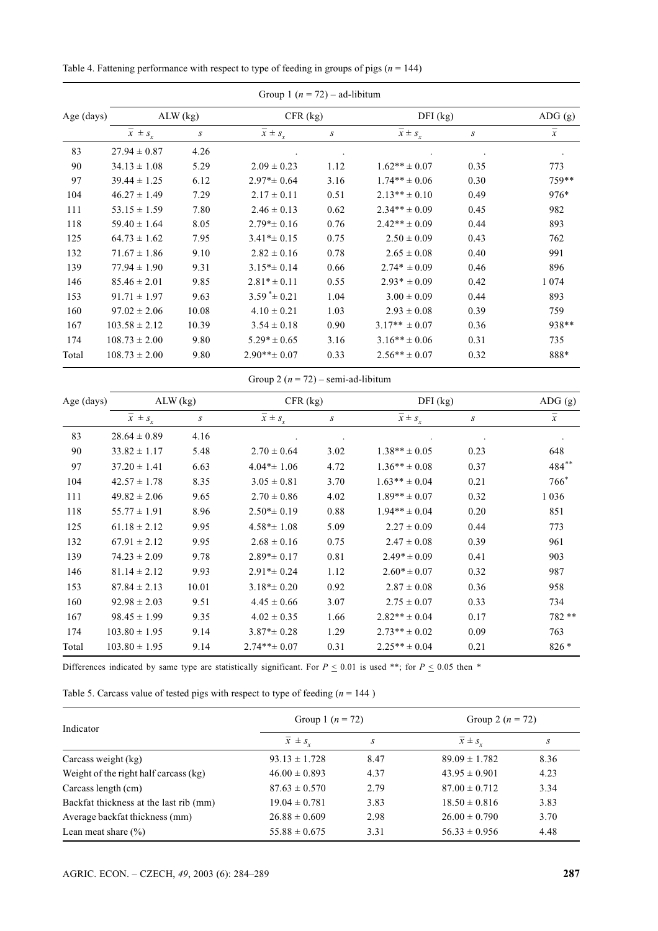| Age (days) | $ALW$ $(kg)$           |       |                        | $CFR$ (kg)       |                        | DFI (kg)         | ADG(g)         |
|------------|------------------------|-------|------------------------|------------------|------------------------|------------------|----------------|
|            | $\overline{x} \pm s_x$ | S     | $\overline{x} \pm s_x$ | $\boldsymbol{S}$ | $\overline{x} \pm s_x$ | $\boldsymbol{S}$ | $\overline{x}$ |
| 83         | $27.94 \pm 0.87$       | 4.26  |                        | $\bullet$        |                        | $\bullet$        |                |
| 90         | $34.13 \pm 1.08$       | 5.29  | $2.09 \pm 0.23$        | 1.12             | $1.62** \pm 0.07$      | 0.35             | 773            |
| 97         | $39.44 \pm 1.25$       | 6.12  | $2.97* \pm 0.64$       | 3.16             | $1.74** \pm 0.06$      | 0.30             | 759**          |
| 104        | $46.27 \pm 1.49$       | 7.29  | $2.17 \pm 0.11$        | 0.51             | $2.13** \pm 0.10$      | 0.49             | $976*$         |
| 111        | $53.15 \pm 1.59$       | 7.80  | $2.46 \pm 0.13$        | 0.62             | $2.34** \pm 0.09$      | 0.45             | 982            |
| 118        | $59.40 \pm 1.64$       | 8.05  | $2.79* \pm 0.16$       | 0.76             | $2.42** \pm 0.09$      | 0.44             | 893            |
| 125        | $64.73 \pm 1.62$       | 7.95  | $3.41* \pm 0.15$       | 0.75             | $2.50 \pm 0.09$        | 0.43             | 762            |
| 132        | $71.67 \pm 1.86$       | 9.10  | $2.82 \pm 0.16$        | 0.78             | $2.65 \pm 0.08$        | 0.40             | 991            |
| 139        | $77.94 \pm 1.90$       | 9.31  | $3.15* \pm 0.14$       | 0.66             | $2.74* \pm 0.09$       | 0.46             | 896            |
| 146        | $85.46 \pm 2.01$       | 9.85  | $2.81* \pm 0.11$       | 0.55             | $2.93* \pm 0.09$       | 0.42             | 1 0 7 4        |
| 153        | $91.71 \pm 1.97$       | 9.63  | $3.59^* \pm 0.21$      | 1.04             | $3.00 \pm 0.09$        | 0.44             | 893            |
| 160        | $97.02 \pm 2.06$       | 10.08 | $4.10 \pm 0.21$        | 1.03             | $2.93 \pm 0.08$        | 0.39             | 759            |
| 167        | $103.58 \pm 2.12$      | 10.39 | $3.54 \pm 0.18$        | 0.90             | $3.17** \pm 0.07$      | 0.36             | 938**          |
| 174        | $108.73 \pm 2.00$      | 9.80  | $5.29* \pm 0.65$       | 3.16             | $3.16** \pm 0.06$      | 0.31             | 735            |
| Total      | $108.73 \pm 2.00$      | 9.80  | $2.90***\pm0.07$       | 0.33             | $2.56** \pm 0.07$      | 0.32             | 888*           |

Table 4. Fattening performance with respect to type of feeding in groups of pigs ( $n = 144$ )

Group 2 ( $n = 72$ ) – semi-ad-libitum

| Age (days) |                          | $ALW$ (kg) | $CFR$ (kg)               |                  | DFI (kg)                 |      | ADG(g)         |
|------------|--------------------------|------------|--------------------------|------------------|--------------------------|------|----------------|
|            | $\overline{x} \pm s_{r}$ | S          | $\overline{x} \pm s_{r}$ | $\boldsymbol{S}$ | $\overline{x} \pm s_{r}$ | S    | $\overline{x}$ |
| 83         | $28.64 \pm 0.89$         | 4.16       |                          |                  |                          |      |                |
| 90         | $33.82 \pm 1.17$         | 5.48       | $2.70 \pm 0.64$          | 3.02             | $1.38** \pm 0.05$        | 0.23 | 648            |
| 97         | $37.20 \pm 1.41$         | 6.63       | $4.04* \pm 1.06$         | 4.72             | $1.36** \pm 0.08$        | 0.37 | $484**$        |
| 104        | $42.57 \pm 1.78$         | 8.35       | $3.05 \pm 0.81$          | 3.70             | $1.63** \pm 0.04$        | 0.21 | $766*$         |
| 111        | $49.82 \pm 2.06$         | 9.65       | $2.70 \pm 0.86$          | 4.02             | $1.89** \pm 0.07$        | 0.32 | 1036           |
| 118        | $55.77 \pm 1.91$         | 8.96       | $2.50* \pm 0.19$         | 0.88             | $1.94** \pm 0.04$        | 0.20 | 851            |
| 125        | $61.18 \pm 2.12$         | 9.95       | $4.58* \pm 1.08$         | 5.09             | $2.27 \pm 0.09$          | 0.44 | 773            |
| 132        | $67.91 \pm 2.12$         | 9.95       | $2.68 \pm 0.16$          | 0.75             | $2.47 \pm 0.08$          | 0.39 | 961            |
| 139        | $74.23 \pm 2.09$         | 9.78       | $2.89* \pm 0.17$         | 0.81             | $2.49* \pm 0.09$         | 0.41 | 903            |
| 146        | $81.14 \pm 2.12$         | 9.93       | $2.91* \pm 0.24$         | 1.12             | $2.60* \pm 0.07$         | 0.32 | 987            |
| 153        | $87.84 \pm 2.13$         | 10.01      | $3.18* \pm 0.20$         | 0.92             | $2.87 \pm 0.08$          | 0.36 | 958            |
| 160        | $92.98 \pm 2.03$         | 9.51       | $4.45 \pm 0.66$          | 3.07             | $2.75 \pm 0.07$          | 0.33 | 734            |
| 167        | $98.45 \pm 1.99$         | 9.35       | $4.02 \pm 0.35$          | 1.66             | $2.82** \pm 0.04$        | 0.17 | 782 **         |
| 174        | $103.80 \pm 1.95$        | 9.14       | $3.87* \pm 0.28$         | 1.29             | $2.73** \pm 0.02$        | 0.09 | 763            |
| Total      | $103.80 \pm 1.95$        | 9.14       | $2.74***\pm 0.07$        | 0.31             | $2.25** \pm 0.04$        | 0.21 | $826*$         |

Differences indicated by same type are statistically significant. For  $P \le 0.01$  is used \*\*; for  $P \le 0.05$  then \*

Table 5. Carcass value of tested pigs with respect to type of feeding ( $n = 144$ )

|                                        | Group 1 $(n = 72)$   |      | Group 2 $(n = 72)$   |      |
|----------------------------------------|----------------------|------|----------------------|------|
| Indicator                              | $\overline{x} \pm s$ | S    | $\overline{x} \pm s$ | S    |
| Carcass weight (kg)                    | $93.13 \pm 1.728$    | 8.47 | $89.09 \pm 1.782$    | 8.36 |
| Weight of the right half carcass (kg)  | $46.00 \pm 0.893$    | 4.37 | $43.95 \pm 0.901$    | 4.23 |
| Carcass length (cm)                    | $87.63 \pm 0.570$    | 2.79 | $87.00 \pm 0.712$    | 3.34 |
| Backfat thickness at the last rib (mm) | $19.04 \pm 0.781$    | 3.83 | $18.50 \pm 0.816$    | 3.83 |
| Average backfat thickness (mm)         | $26.88 \pm 0.609$    | 2.98 | $26.00 \pm 0.790$    | 3.70 |
| Lean meat share $(\% )$                | $55.88 \pm 0.675$    | 3.31 | $56.33 \pm 0.956$    | 4.48 |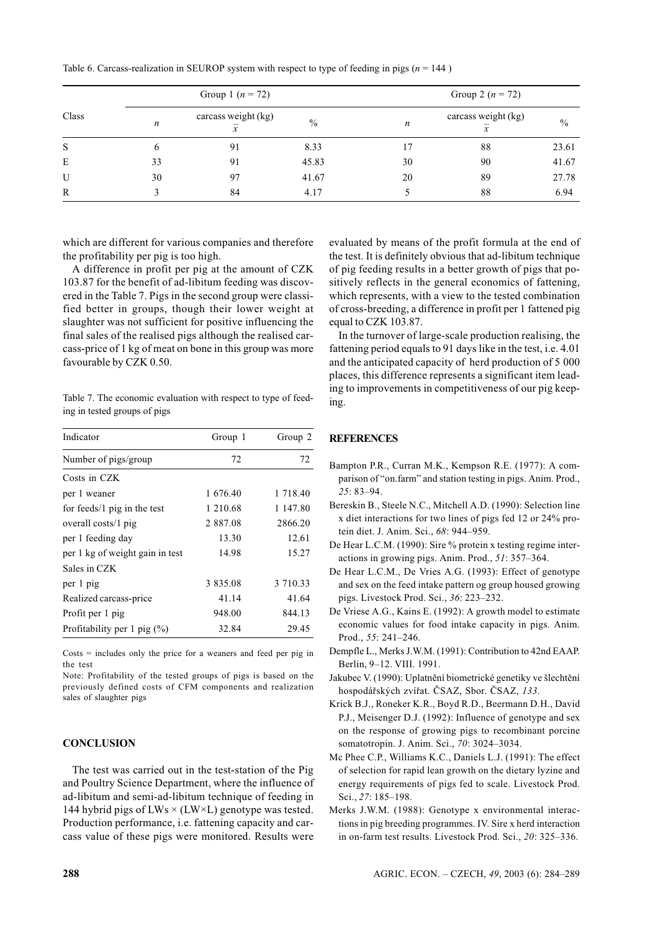Table 6. Carcass-realization in SEUROP system with respect to type of feeding in pigs ( $n = 144$ )

|       |    | Group 1 $(n = 72)$               |               | Group 2 $(n = 72)$ |                          |               |
|-------|----|----------------------------------|---------------|--------------------|--------------------------|---------------|
| Class | n  | carcass weight (kg)<br>$\lambda$ | $\frac{0}{0}$ | $\boldsymbol{n}$   | carcass weight (kg)<br>л | $\frac{0}{0}$ |
| S     | 6  | 91                               | 8.33          | 17                 | 88                       | 23.61         |
| E     | 33 | 91                               | 45.83         | 30                 | 90                       | 41.67         |
| U     | 30 | 97                               | 41.67         | 20                 | 89                       | 27.78         |
| R     |    | 84                               | 4.17          |                    | 88                       | 6.94          |

which are different for various companies and therefore the profitability per pig is too high.

A difference in profit per pig at the amount of CZK 103.87 for the benefit of ad-libitum feeding was discovered in the Table 7. Pigs in the second group were classified better in groups, though their lower weight at slaughter was not sufficient for positive influencing the final sales of the realised pigs although the realised carcass-price of 1 kg of meat on bone in this group was more favourable by CZK 0.50.

Table 7. The economic evaluation with respect to type of feeding in tested groups of pigs

| Indicator                       | Group 1  | Group 2  |
|---------------------------------|----------|----------|
| Number of pigs/group            | 72       | 72       |
| Costs in CZK                    |          |          |
| per 1 weaner                    | 1 676.40 | 1 718.40 |
| for feeds/1 pig in the test     | 1 210.68 | 1 147.80 |
| overall costs/1 pig             | 2 887.08 | 2866.20  |
| per 1 feeding day               | 13.30    | 12.61    |
| per 1 kg of weight gain in test | 14.98    | 15.27    |
| Sales in CZK                    |          |          |
| per 1 pig                       | 3 835.08 | 3 710.33 |
| Realized carcass-price          | 41.14    | 41.64    |
| Profit per 1 pig                | 948.00   | 844.13   |
| Profitability per 1 pig $(\%)$  | 32.84    | 29.45    |

 $Costs = includes only the price for a weaners and feed per pig in$ the test

Note: Profitability of the tested groups of pigs is based on the previously defined costs of CFM components and realization sales of slaughter pigs

### **CONCLUSION**

The test was carried out in the test-station of the Pig and Poultry Science Department, where the influence of ad-libitum and semi-ad-libitum technique of feeding in 144 hybrid pigs of LWs  $\times$  (LW $\times$ L) genotype was tested. Production performance, i.e. fattening capacity and carcass value of these pigs were monitored. Results were

evaluated by means of the profit formula at the end of the test. It is definitely obvious that ad-libitum technique of pig feeding results in a better growth of pigs that positively reflects in the general economics of fattening, which represents, with a view to the tested combination of cross-breeding, a difference in profit per 1 fattened pig equal to CZK 103.87.

In the turnover of large-scale production realising, the fattening period equals to 91 days like in the test, i.e. 4.01 and the anticipated capacity of herd production of 5 000 places, this difference represents a significant item leading to improvements in competitiveness of our pig keep $ing.$ 

#### **REFERENCES**

- Bampton P.R., Curran M.K., Kempson R.E. (1977): A comparison of "on.farm" and station testing in pigs. Anim. Prod.,  $25.83 - 94$
- Bereskin B., Steele N.C., Mitchell A.D. (1990): Selection line x diet interactions for two lines of pigs fed 12 or 24% protein diet. J. Anim. Sci., 68: 944-959.
- De Hear L.C.M. (1990): Sire % protein x testing regime interactions in growing pigs. Anim. Prod., 51: 357-364.
- De Hear L.C.M., De Vries A.G. (1993): Effect of genotype and sex on the feed intake pattern og group housed growing pigs. Livestock Prod. Sci., 36: 223-232.
- De Vriese A.G., Kains E. (1992): A growth model to estimate economic values for food intake capacity in pigs. Anim. Prod., 55: 241-246.
- Dempfle L., Merks J.W.M. (1991): Contribution to 42nd EAAP. Berlin, 9-12, VIII, 1991.
- Jakubec V. (1990): Uplatnění biometrické genetiky ve šlechtění hospodářských zvířat. ČSAZ, Sbor. ČSAZ, 133.
- Krick B.J., Roneker K.R., Boyd R.D., Beermann D.H., David P.J., Meisenger D.J. (1992): Influence of genotype and sex on the response of growing pigs to recombinant porcine somatotropin. J. Anim. Sci., 70: 3024-3034.
- Mc Phee C.P., Williams K.C., Daniels L.J. (1991): The effect of selection for rapid lean growth on the dietary lyzine and energy requirements of pigs fed to scale. Livestock Prod. Sci., 27: 185-198.
- Merks J.W.M. (1988): Genotype x environmental interactions in pig breeding programmes. IV. Sire x herd interaction in on-farm test results. Livestock Prod. Sci., 20: 325-336.